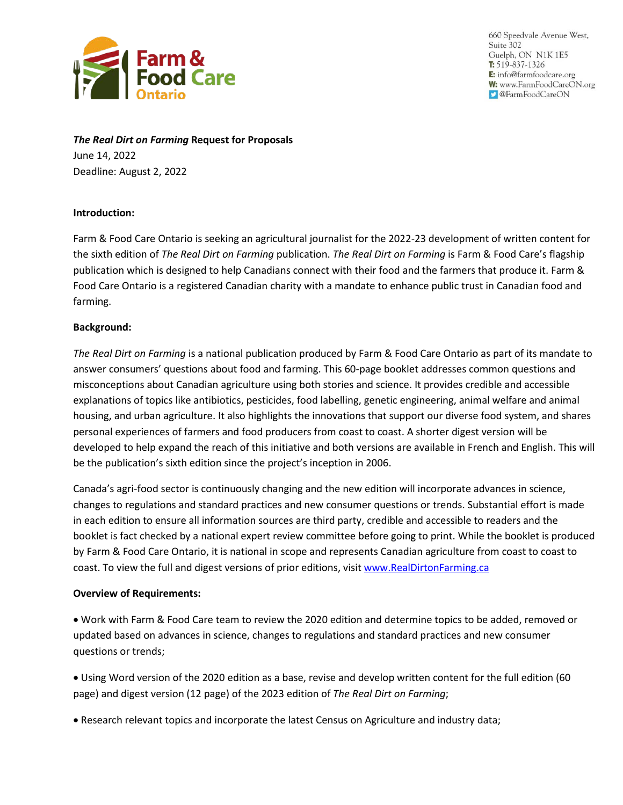

660 Speedvale Avenue West, Suite 302 Guelph, ON N1K 1E5 T: 519-837-1326 E: info@farmfoodcare.org W: www.FarmFoodCareON.org *D* @FarmFoodCareON

*The Real Dirt on Farming* **Request for Proposals**  June 14, 2022 Deadline: August 2, 2022

## **Introduction:**

Farm & Food Care Ontario is seeking an agricultural journalist for the 2022-23 development of written content for the sixth edition of *The Real Dirt on Farming* publication. *The Real Dirt on Farming* is Farm & Food Care's flagship publication which is designed to help Canadians connect with their food and the farmers that produce it. Farm & Food Care Ontario is a registered Canadian charity with a mandate to enhance public trust in Canadian food and farming.

## **Background:**

*The Real Dirt on Farming* is a national publication produced by Farm & Food Care Ontario as part of its mandate to answer consumers' questions about food and farming. This 60-page booklet addresses common questions and misconceptions about Canadian agriculture using both stories and science. It provides credible and accessible explanations of topics like antibiotics, pesticides, food labelling, genetic engineering, animal welfare and animal housing, and urban agriculture. It also highlights the innovations that support our diverse food system, and shares personal experiences of farmers and food producers from coast to coast. A shorter digest version will be developed to help expand the reach of this initiative and both versions are available in French and English. This will be the publication's sixth edition since the project's inception in 2006.

Canada's agri-food sector is continuously changing and the new edition will incorporate advances in science, changes to regulations and standard practices and new consumer questions or trends. Substantial effort is made in each edition to ensure all information sources are third party, credible and accessible to readers and the booklet is fact checked by a national expert review committee before going to print. While the booklet is produced by Farm & Food Care Ontario, it is national in scope and represents Canadian agriculture from coast to coast to coast. To view the full and digest versions of prior editions, visi[t www.RealDirtonFarming.ca](http://www.realdirtonfarming.ca/)

## **Overview of Requirements:**

• Work with Farm & Food Care team to review the 2020 edition and determine topics to be added, removed or updated based on advances in science, changes to regulations and standard practices and new consumer questions or trends;

• Using Word version of the 2020 edition as a base, revise and develop written content for the full edition (60 page) and digest version (12 page) of the 2023 edition of *The Real Dirt on Farming*;

• Research relevant topics and incorporate the latest Census on Agriculture and industry data;